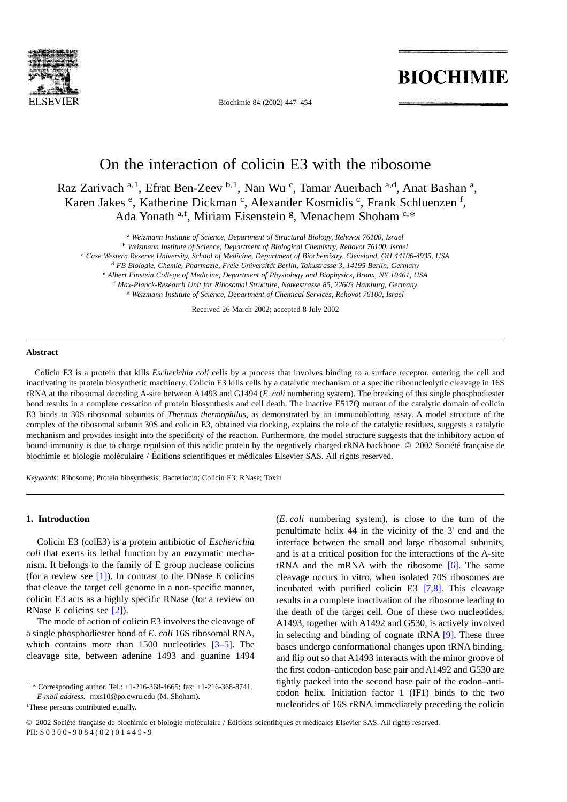

Biochimie 84 (2002) 447–454

# **BIOCHIMIE**

# On the interaction of colicin E3 with the ribosome

Raz Zarivach <sup>a, 1</sup>, Efrat Ben-Zeev <sup>b, 1</sup>, Nan Wu <sup>c</sup>, Tamar Auerbach <sup>a, d</sup>, Anat Bashan <sup>a</sup>, Karen Jakes <sup>e</sup>, Katherine Dickman <sup>c</sup>, Alexander Kosmidis <sup>c</sup>, Frank Schluenzen <sup>f</sup>, Ada Yonath a,f, Miriam Eisenstein<sup>g</sup>, Menachem Shoham<sup>c,\*</sup>

<sup>a</sup> *Weizmann Institute of Science, Department of Structural Biology, Rehovot 76100, Israel*

<sup>b</sup> *Weizmann Institute of Science, Department of Biological Chemistry, Rehovot 76100, Israel*

<sup>c</sup> *Case Western Reserve University, School of Medicine, Department of Biochemistry, Cleveland, OH 44106-4935, USA*

<sup>d</sup> *FB Biologie, Chemie, Pharmazie, Freie Universität Berlin, Takustrasse 3, 14195 Berlin, Germany*

<sup>e</sup> *Albert Einstein College of Medicine, Department of Physiology and Biophysics, Bronx, NY 10461, USA*

<sup>f</sup> *Max-Planck-Research Unit for Ribosomal Structure, Notkestrasse 85, 22603 Hamburg, Germany*

<sup>g</sup> *Weizmann Institute of Science, Department of Chemical Services, Rehovot 76100, Israel*

Received 26 March 2002; accepted 8 July 2002

#### **Abstract**

Colicin E3 is a protein that kills *Escherichia coli* cells by a process that involves binding to a surface receptor, entering the cell and inactivating its protein biosynthetic machinery. Colicin E3 kills cells by a catalytic mechanism of a specific ribonucleolytic cleavage in 16S rRNA at the ribosomal decoding A-site between A1493 and G1494 (*E*. *coli* numbering system). The breaking of this single phosphodiester bond results in a complete cessation of protein biosynthesis and cell death. The inactive E517Q mutant of the catalytic domain of colicin E3 binds to 30S ribosomal subunits of *Thermus thermophilus*, as demonstrated by an immunoblotting assay. A model structure of the complex of the ribosomal subunit 30S and colicin E3, obtained via docking, explains the role of the catalytic residues, suggests a catalytic mechanism and provides insight into the specificity of the reaction. Furthermore, the model structure suggests that the inhibitory action of bound immunity is due to charge repulsion of this acidic protein by the negatively charged rRNA backbone © 2002 Société française de biochimie et biologie moléculaire / Éditions scientifiques et médicales Elsevier SAS. All rights reserved.

*Keywords:* Ribosome; Protein biosynthesis; Bacteriocin; Colicin E3; RNase; Toxin

#### **1. Introduction**

Colicin E3 (colE3) is a protein antibiotic of *Escherichia coli* that exerts its lethal function by an enzymatic mechanism. It belongs to the family of E group nuclease colicins (for a review see  $[1]$ ). In contrast to the DNase E colicins that cleave the target cell genome in a non-specific manner, colicin E3 acts as a highly specific RNase (for a review on RNase E colicins see [\[2\]\)](#page-7-0).

The mode of action of colicin E3 involves the cleavage of a single phosphodiester bond of *E*. *coli* 16S ribosomal RNA, which contains more than 1500 nucleotides [\[3–5\].](#page-7-0) The cleavage site, between adenine 1493 and guanine 1494

(*E*. *coli* numbering system), is close to the turn of the penultimate helix 44 in the vicinity of the 3' end and the interface between the small and large ribosomal subunits, and is at a critical position for the interactions of the A-site tRNA and the mRNA with the ribosome  $[6]$ . The same cleavage occurs in vitro, when isolated 70S ribosomes are incubated with purified colicin E3 [\[7,8\].](#page-7-0) This cleavage results in a complete inactivation of the ribosome leading to the death of the target cell. One of these two nucleotides, A1493, together with A1492 and G530, is actively involved in selecting and binding of cognate tRNA [\[9\]](#page-7-0). These three bases undergo conformational changes upon tRNA binding, and flip out so that A1493 interacts with the minor groove of the first codon–anticodon base pair and A1492 and G530 are tightly packed into the second base pair of the codon–anticodon helix. Initiation factor 1 (IF1) binds to the two nucleotides of 16S rRNA immediately preceding the colicin

<sup>\*</sup> Corresponding author. Tel.: +1-216-368-4665; fax: +1-216-368-8741. *E-mail address:* mxs10@po.cwru.edu (M. Shoham).

<sup>&</sup>lt;sup>1</sup>These persons contributed equally.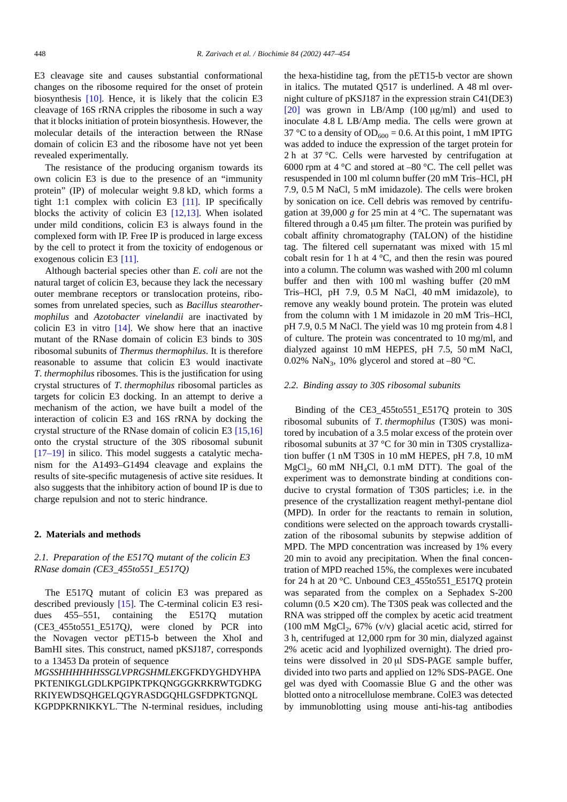E3 cleavage site and causes substantial conformational changes on the ribosome required for the onset of protein biosynthesis [\[10\].](#page-7-0) Hence, it is likely that the colicin E3 cleavage of 16S rRNA cripples the ribosome in such a way that it blocks initiation of protein biosynthesis. However, the molecular details of the interaction between the RNase domain of colicin E3 and the ribosome have not yet been revealed experimentally.

The resistance of the producing organism towards its own colicin E3 is due to the presence of an "immunity protein" (IP) of molecular weight 9.8 kD, which forms a tight 1:1 complex with colicin E3 [\[11\].](#page-7-0) IP specifically blocks the activity of colicin E3  $[12,13]$ . When isolated under mild conditions, colicin E3 is always found in the complexed form with IP. Free IP is produced in large excess by the cell to protect it from the toxicity of endogenous or exogenous colicin E3 [\[11\]](#page-7-0).

Although bacterial species other than *E. coli* are not the natural target of colicin E3, because they lack the necessary outer membrane receptors or translocation proteins, ribosomes from unrelated species, such as *Bacillus stearothermophilus* and *Azotobacter vinelandii* are inactivated by colicin E3 in vitro  $[14]$ . We show here that an inactive mutant of the RNase domain of colicin E3 binds to 30S ribosomal subunits of *Thermus thermophilus*. It is therefore reasonable to assume that colicin E3 would inactivate *T*. *thermophilus* ribosomes. This is the justification for using crystal structures of *T*. *thermophilus* ribosomal particles as targets for colicin E3 docking. In an attempt to derive a mechanism of the action, we have built a model of the interaction of colicin E3 and 16S rRNA by docking the crystal structure of the RNase domain of colicin E3 [\[15,16\]](#page-7-0) onto the crystal structure of the 30S ribosomal subunit [\[17–19\]](#page-7-0) in silico. This model suggests a catalytic mechanism for the A1493–G1494 cleavage and explains the results of site-specific mutagenesis of active site residues. It also suggests that the inhibitory action of bound IP is due to charge repulsion and not to steric hindrance.

# **2. Materials and methods**

# *2.1. Preparation of the E517Q mutant of the colicin E3 RNase domain (CE3\_455to551\_E517Q)*

The E517Q mutant of colicin E3 was prepared as described previously [\[15\]](#page-7-0). The C-terminal colicin E3 residues 455–551, containing the E517Q mutation (CE3\_455to551\_E517Q*)*, were cloned by PCR into the Novagen vector pET15-b between the XhoI and BamHI sites. This construct, named pKSJ187, corresponds to a 13453 Da protein of sequence

*MGSSHHHHHHSSGLVPRGSHMLE*KGFKDYGHDYHPA PKTENIKGLGDLKPGIPKTPKQNGGGKRKRWTGDKG RKIYEWDSQHGELQGYRASDGQHLGSFDPKTGNQL KGPDPKRNIKKYL. The N-terminal residues, including the hexa-histidine tag, from the pET15-b vector are shown in italics. The mutated Q517 is underlined. A 48 ml overnight culture of pKSJ187 in the expression strain C41(DE3) [\[20\]](#page-7-0) was grown in LB/Amp (100 µg/ml) and used to inoculate 4.8 L LB/Amp media. The cells were grown at 37 °C to a density of  $OD_{600} = 0.6$ . At this point, 1 mM IPTG was added to induce the expression of the target protein for 2 h at 37 °C. Cells were harvested by centrifugation at 6000 rpm at 4  $\rm{^{\circ}C}$  and stored at –80  $\rm{^{\circ}C}$ . The cell pellet was resuspended in 100 ml column buffer (20 mM Tris–HCl, pH 7.9, 0.5 M NaCl, 5 mM imidazole). The cells were broken by sonication on ice. Cell debris was removed by centrifugation at 39,000 *g* for 25 min at 4 °C. The supernatant was filtered through a 0.45 µm filter. The protein was purified by cobalt affinity chromatography (TALON) of the histidine tag. The filtered cell supernatant was mixed with 15 ml cobalt resin for 1 h at  $4^{\circ}$ C, and then the resin was poured into a column. The column was washed with 200 ml column buffer and then with 100 ml washing buffer (20 mM Tris–HCl, pH 7.9, 0.5 M NaCl, 40 mM imidazole), to remove any weakly bound protein. The protein was eluted from the column with 1 M imidazole in 20 mM Tris–HCl, pH 7.9, 0.5 M NaCl. The yield was 10 mg protein from 4.8 l of culture. The protein was concentrated to 10 mg/ml, and dialyzed against 10 mM HEPES, pH 7.5, 50 mM NaCl, 0.02% NaN<sub>3</sub>, 10% glycerol and stored at –80 °C.

#### *2.2. Binding assay to 30S ribosomal subunits*

Binding of the CE3\_455to551\_E517Q protein to 30S ribosomal subunits of *T*. *thermophilus* (T30S) was monitored by incubation of a 3.5 molar excess of the protein over ribosomal subunits at 37 °C for 30 min in T30S crystallization buffer (1 nM T30S in 10 mM HEPES, pH 7.8, 10 mM  $MgCl<sub>2</sub>$ , 60 mM NH<sub>4</sub>Cl, 0.1 mM DTT). The goal of the experiment was to demonstrate binding at conditions conducive to crystal formation of T30S particles; i.e. in the presence of the crystallization reagent methyl-pentane diol (MPD). In order for the reactants to remain in solution, conditions were selected on the approach towards crystallization of the ribosomal subunits by stepwise addition of MPD. The MPD concentration was increased by 1% every 20 min to avoid any precipitation. When the final concentration of MPD reached 15%, the complexes were incubated for 24 h at 20 °C. Unbound CE3\_455to551\_E517Q protein was separated from the complex on a Sephadex S-200 column  $(0.5 \times 20 \text{ cm})$ . The T30S peak was collected and the RNA was stripped off the complex by acetic acid treatment (100 mM MgCl<sub>2</sub>, 67% (v/v) glacial acetic acid, stirred for 3 h, centrifuged at 12,000 rpm for 30 min, dialyzed against 2% acetic acid and lyophilized overnight). The dried proteins were dissolved in 20 µl SDS-PAGE sample buffer, divided into two parts and applied on 12% SDS-PAGE. One gel was dyed with Coomassie Blue G and the other was blotted onto a nitrocellulose membrane. ColE3 was detected by immunoblotting using mouse anti-his-tag antibodies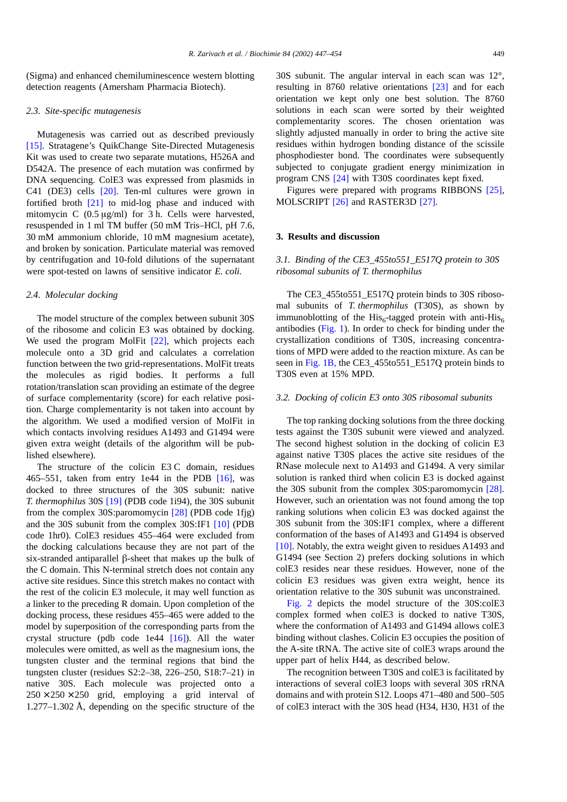(Sigma) and enhanced chemiluminescence western blotting detection reagents (Amersham Pharmacia Biotech).

#### *2.3. Site-specific mutagenesis*

Mutagenesis was carried out as described previously [\[15\]](#page-7-0). Stratagene's OuikChange Site-Directed Mutagenesis Kit was used to create two separate mutations, H526A and D542A. The presence of each mutation was confirmed by DNA sequencing. ColE3 was expressed from plasmids in C41 (DE3) cells [\[20\].](#page-7-0) Ten-ml cultures were grown in fortified broth [\[21\]](#page-7-0) to mid-log phase and induced with mitomycin C (0.5 µg/ml) for 3 h. Cells were harvested, resuspended in 1 ml TM buffer (50 mM Tris–HCl, pH 7.6, 30 mM ammonium chloride, 10 mM magnesium acetate), and broken by sonication. Particulate material was removed by centrifugation and 10-fold dilutions of the supernatant were spot-tested on lawns of sensitive indicator *E. coli.*

#### *2.4. Molecular docking*

The model structure of the complex between subunit 30S of the ribosome and colicin E3 was obtained by docking. We used the program MolFit [\[22\],](#page-7-0) which projects each molecule onto a 3D grid and calculates a correlation function between the two grid-representations. MolFit treats the molecules as rigid bodies. It performs a full rotation/translation scan providing an estimate of the degree of surface complementarity (score) for each relative position. Charge complementarity is not taken into account by the algorithm. We used a modified version of MolFit in which contacts involving residues A1493 and G1494 were given extra weight (details of the algorithm will be published elsewhere).

The structure of the colicin E3 C domain, residues 465–551, taken from entry 1e44 in the PDB [\[16\],](#page-7-0) was docked to three structures of the 30S subunit: native *T. thermophilus* 30S [\[19\]](#page-7-0) (PDB code 1i94), the 30S subunit from the complex 30S:paromomycin [\[28\]](#page-7-0) (PDB code 1fjg) and the 30S subunit from the complex 30S:IF1 [\[10\]](#page-7-0) (PDB code 1hr0). ColE3 residues 455–464 were excluded from the docking calculations because they are not part of the  $s$ ix-stranded antiparallel  $\beta$ -sheet that makes up the bulk of the C domain. This N-terminal stretch does not contain any active site residues. Since this stretch makes no contact with the rest of the colicin E3 molecule, it may well function as a linker to the preceding R domain. Upon completion of the docking process, these residues 455–465 were added to the model by superposition of the corresponding parts from the crystal structure (pdb code 1e44 [\[16\]](#page-7-0)). All the water molecules were omitted, as well as the magnesium ions, the tungsten cluster and the terminal regions that bind the tungsten cluster (residues S2:2–38, 226–250, S18:7–21) in native 30S. Each molecule was projected onto a  $250 \times 250 \times 250$  grid, employing a grid interval of 1.277–1.302 Å, depending on the specific structure of the

30S subunit. The angular interval in each scan was 12°, resulting in 8760 relative orientations [\[23\]](#page-7-0) and for each orientation we kept only one best solution. The 8760 solutions in each scan were sorted by their weighted complementarity scores. The chosen orientation was slightly adjusted manually in order to bring the active site residues within hydrogen bonding distance of the scissile phosphodiester bond. The coordinates were subsequently subjected to conjugate gradient energy minimization in program CNS [\[24\]](#page-7-0) with T30S coordinates kept fixed.

Figures were prepared with programs RIBBONS [\[25\],](#page-7-0) MOLSCRIPT [\[26\]](#page-7-0) and RASTER3D [\[27\].](#page-7-0)

# **3. Results and discussion**

# *3.1. Binding of the CE3\_455to551\_E517Q protein to 30S ribosomal subunits of T. thermophilus*

The CE3 455to551 E517Q protein binds to 30S ribosomal subunits of *T. thermophilus* (T30S), as shown by immunoblotting of the His<sub>6</sub>-tagged protein with anti-His<sub>6</sub> antibodies [\(Fig. 1](#page-3-0)). In order to check for binding under the crystallization conditions of T30S, increasing concentrations of MPD were added to the reaction mixture. As can be seen in [Fig. 1B,](#page-3-0) the CE3\_455to551\_E517Q protein binds to T30S even at 15% MPD.

#### *3.2. Docking of colicin E3 onto 30S ribosomal subunits*

The top ranking docking solutions from the three docking tests against the T30S subunit were viewed and analyzed. The second highest solution in the docking of colicin E3 against native T30S places the active site residues of the RNase molecule next to A1493 and G1494. A very similar solution is ranked third when colicin E3 is docked against the 30S subunit from the complex 30S:paromomycin [\[28\].](#page-7-0) However, such an orientation was not found among the top ranking solutions when colicin E3 was docked against the 30S subunit from the 30S:IF1 complex, where a different conformation of the bases of A1493 and G1494 is observed [\[10\]](#page-7-0). Notably, the extra weight given to residues A1493 and G1494 (see Section 2) prefers docking solutions in which colE3 resides near these residues. However, none of the colicin E3 residues was given extra weight, hence its orientation relative to the 30S subunit was unconstrained.

[Fig. 2](#page-4-0) depicts the model structure of the 30S:colE3 complex formed when colE3 is docked to native T30S, where the conformation of A1493 and G1494 allows colE3 binding without clashes. Colicin E3 occupies the position of the A-site tRNA. The active site of colE3 wraps around the upper part of helix H44, as described below.

The recognition between T30S and colE3 is facilitated by interactions of several colE3 loops with several 30S rRNA domains and with protein S12. Loops 471–480 and 500–505 of colE3 interact with the 30S head (H34, H30, H31 of the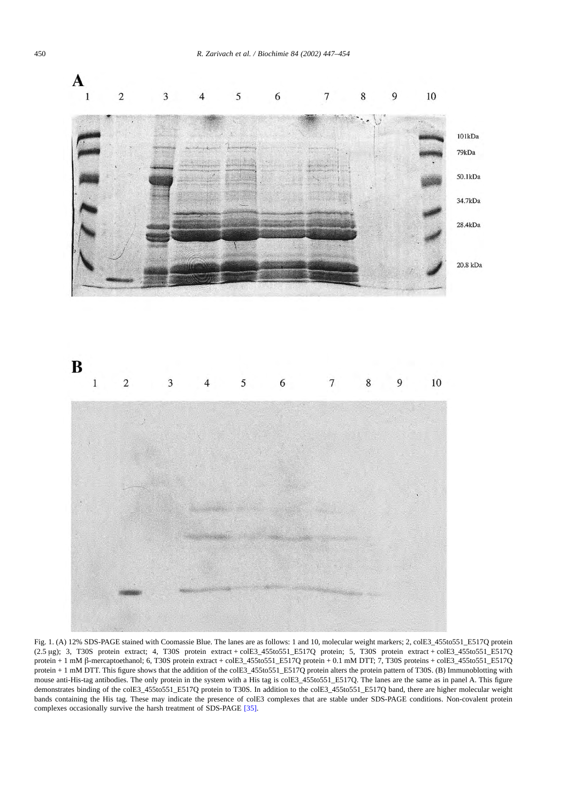<span id="page-3-0"></span>

Fig. 1. (A) 12% SDS-PAGE stained with Coomassie Blue. The lanes are as follows: 1 and 10, molecular weight markers; 2, colE3\_455to551\_E517Q protein (2.5 µg); 3, T30S protein extract; 4, T30S protein extract + colE3\_455to551\_E517Q protein; 5, T30S protein extract + colE3\_455to551\_E517Q protein + 1 mM  $\beta$ -mercaptoethanol; 6, T30S protein extract + colE3\_455to551\_E517Q protein + 0.1 mM DTT; 7, T30S proteins + colE3\_455to551\_E517Q protein + 1 mM DTT. This figure shows that the addition of the colE3\_455to551\_E517Q protein alters the protein pattern of T30S. (B) Immunoblotting with mouse anti-His-tag antibodies. The only protein in the system with a His tag is colE3\_455to551\_E517Q. The lanes are the same as in panel A. This figure demonstrates binding of the colE3\_455to551\_E517Q protein to T30S. In addition to the colE3\_455to551\_E517Q band, there are higher molecular weight bands containing the His tag. These may indicate the presence of colE3 complexes that are stable under SDS-PAGE conditions. Non-covalent protein complexes occasionally survive the harsh treatment of SDS-PAGE [\[35\]](#page-7-0).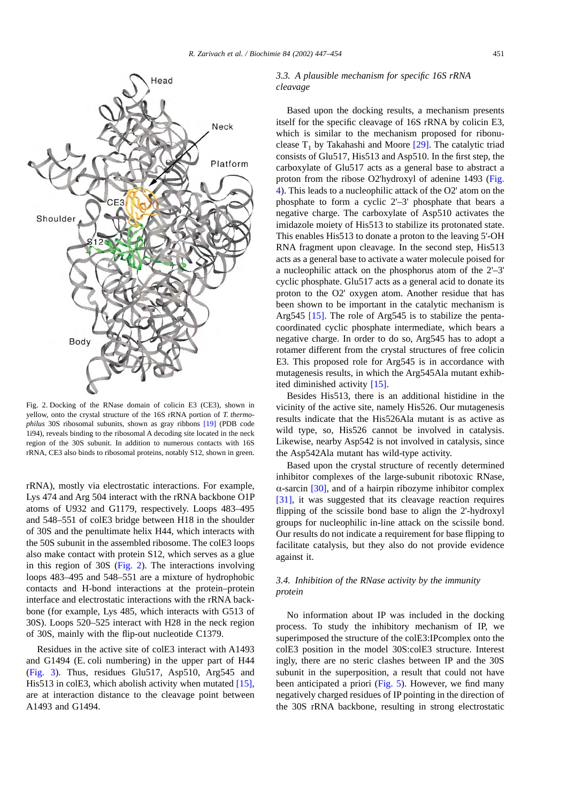<span id="page-4-0"></span>

Fig. 2. Docking of the RNase domain of colicin E3 (CE3), shown in yellow, onto the crystal structure of the 16S rRNA portion of *T. thermophilus* 30S ribosomal subunits, shown as gray ribbons [\[19\]](#page-7-0) (PDB code 1i94), reveals binding to the ribosomal A decoding site located in the neck region of the 30S subunit. In addition to numerous contacts with 16S rRNA, CE3 also binds to ribosomal proteins, notably S12, shown in green.

rRNA), mostly via electrostatic interactions. For example, Lys 474 and Arg 504 interact with the rRNA backbone O1P atoms of U932 and G1179, respectively. Loops 483–495 and 548–551 of colE3 bridge between H18 in the shoulder of 30S and the penultimate helix H44, which interacts with the 50S subunit in the assembled ribosome. The colE3 loops also make contact with protein S12, which serves as a glue in this region of 30S (Fig. 2). The interactions involving loops 483–495 and 548–551 are a mixture of hydrophobic contacts and H-bond interactions at the protein–protein interface and electrostatic interactions with the rRNA backbone (for example, Lys 485, which interacts with G513 of 30S). Loops 520–525 interact with H28 in the neck region of 30S, mainly with the flip-out nucleotide C1379.

Residues in the active site of colE3 interact with A1493 and G1494 (E. coli numbering) in the upper part of H44 ([Fig. 3](#page-5-0)). Thus, residues Glu517, Asp510, Arg545 and His513 in colE3, which abolish activity when mutated [\[15\],](#page-7-0) are at interaction distance to the cleavage point between A1493 and G1494.

# *3.3. A plausible mechanism for specific 16S rRNA cleavage*

Based upon the docking results, a mechanism presents itself for the specific cleavage of 16S rRNA by colicin E3, which is similar to the mechanism proposed for ribonuclease  $T_1$  by Takahashi and Moore [\[29\]](#page-7-0). The catalytic triad consists of Glu517, His513 and Asp510. In the first step, the carboxylate of Glu517 acts as a general base to abstract a proton from the ribose O2'hydroxyl of adenine 1493 [\(Fig.](#page-6-0) [4\)](#page-6-0). This leads to a nucleophilic attack of the O2' atom on the phosphate to form a cyclic 2'–3' phosphate that bears a negative charge. The carboxylate of Asp510 activates the imidazole moiety of His513 to stabilize its protonated state. This enables His513 to donate a proton to the leaving 5'-OH RNA fragment upon cleavage. In the second step, His513 acts as a general base to activate a water molecule poised for a nucleophilic attack on the phosphorus atom of the 2'–3' cyclic phosphate. Glu517 acts as a general acid to donate its proton to the O2' oxygen atom. Another residue that has been shown to be important in the catalytic mechanism is Arg545 [\[15\]](#page-7-0). The role of Arg545 is to stabilize the pentacoordinated cyclic phosphate intermediate, which bears a negative charge. In order to do so, Arg545 has to adopt a rotamer different from the crystal structures of free colicin E3. This proposed role for Arg545 is in accordance with mutagenesis results, in which the Arg545Ala mutant exhibited diminished activity [\[15\].](#page-7-0)

Besides His513, there is an additional histidine in the vicinity of the active site, namely His526. Our mutagenesis results indicate that the His526Ala mutant is as active as wild type, so, His526 cannot be involved in catalysis. Likewise, nearby Asp542 is not involved in catalysis, since the Asp542Ala mutant has wild-type activity.

Based upon the crystal structure of recently determined inhibitor complexes of the large-subunit ribotoxic RNase, α-sarcin [\[30\],](#page-7-0) and of a hairpin ribozyme inhibitor complex [\[31\]](#page-7-0), it was suggested that its cleavage reaction requires flipping of the scissile bond base to align the 2'-hydroxyl groups for nucleophilic in-line attack on the scissile bond. Our results do not indicate a requirement for base flipping to facilitate catalysis, but they also do not provide evidence against it.

# *3.4. Inhibition of the RNase activity by the immunity protein*

No information about IP was included in the docking process. To study the inhibitory mechanism of IP, we superimposed the structure of the colE3:IPcomplex onto the colE3 position in the model 30S:colE3 structure. Interest ingly, there are no steric clashes between IP and the 30S subunit in the superposition, a result that could not have been anticipated a priori ([Fig. 5](#page-6-0)). However, we find many negatively charged residues of IP pointing in the direction of the 30S rRNA backbone, resulting in strong electrostatic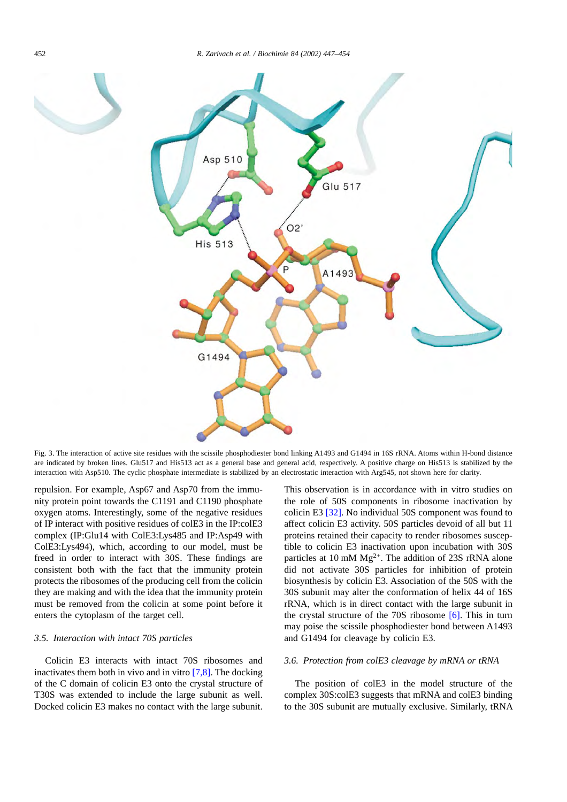<span id="page-5-0"></span>

Fig. 3. The interaction of active site residues with the scissile phosphodiester bond linking A1493 and G1494 in 16S rRNA. Atoms within H-bond distance are indicated by broken lines. Glu517 and His513 act as a general base and general acid, respectively. A positive charge on His513 is stabilized by the interaction with Asp510. The cyclic phosphate intermediate is stabilized by an electrostatic interaction with Arg545, not shown here for clarity.

repulsion. For example, Asp67 and Asp70 from the immunity protein point towards the C1191 and C1190 phosphate oxygen atoms. Interestingly, some of the negative residues of IP interact with positive residues of colE3 in the IP:colE3 complex (IP:Glu14 with ColE3:Lys485 and IP:Asp49 with ColE3:Lys494), which, according to our model, must be freed in order to interact with 30S. These findings are consistent both with the fact that the immunity protein protects the ribosomes of the producing cell from the colicin they are making and with the idea that the immunity protein must be removed from the colicin at some point before it enters the cytoplasm of the target cell.

### *3.5. Interaction with intact 70S particles*

Colicin E3 interacts with intact 70S ribosomes and inactivates them both in vivo and in vitro  $[7,8]$ . The docking of the C domain of colicin E3 onto the crystal structure of T30S was extended to include the large subunit as well. Docked colicin E3 makes no contact with the large subunit.

This observation is in accordance with in vitro studies on the role of 50S components in ribosome inactivation by colicin E3 [\[32\]](#page-7-0). No individual 50S component was found to affect colicin E3 activity. 50S particles devoid of all but 11 proteins retained their capacity to render ribosomes susceptible to colicin E3 inactivation upon incubation with 30S particles at 10 mM  $Mg^{2+}$ . The addition of 23S rRNA alone did not activate 30S particles for inhibition of protein biosynthesis by colicin E3. Association of the 50S with the 30S subunit may alter the conformation of helix 44 of 16S rRNA, which is in direct contact with the large subunit in the crystal structure of the 70S ribosome [\[6\].](#page-7-0) This in turn may poise the scissile phosphodiester bond between A1493 and G1494 for cleavage by colicin E3.

#### *3.6. Protection from colE3 cleavage by mRNA or tRNA*

The position of colE3 in the model structure of the complex 30S:colE3 suggests that mRNA and colE3 binding to the 30S subunit are mutually exclusive. Similarly, tRNA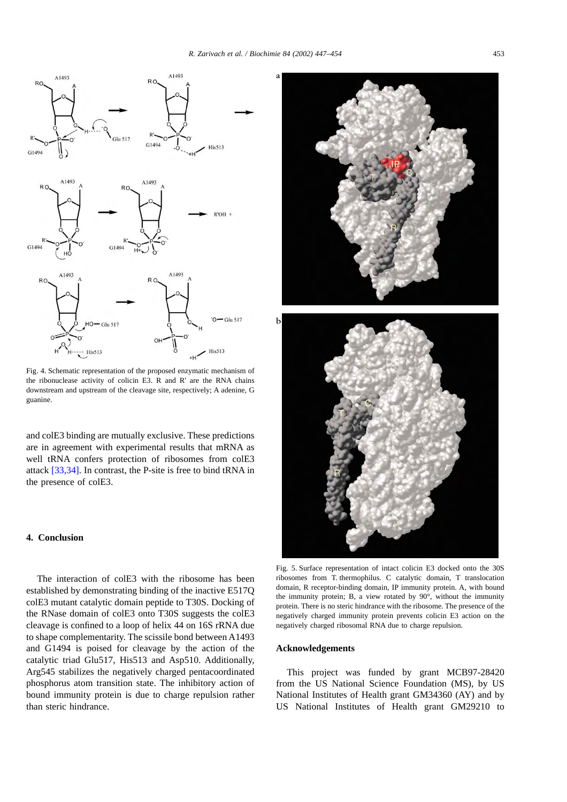<span id="page-6-0"></span>

Fig. 4. Schematic representation of the proposed enzymatic mechanism of the ribonuclease activity of colicin E3. R and R' are the RNA chains downstream and upstream of the cleavage site, respectively; A adenine, G guanine.

and colE3 binding are mutually exclusive. These predictions are in agreement with experimental results that mRNA as well tRNA confers protection of ribosomes from colE3 attack [\[33,34\]](#page-7-0). In contrast, the P-site is free to bind tRNA in the presence of colE3.

# **4. Conclusion**

The interaction of colE3 with the ribosome has been established by demonstrating binding of the inactive E517Q colE3 mutant catalytic domain peptide to T30S. Docking of the RNase domain of colE3 onto T30S suggests the colE3 cleavage is confined to a loop of helix 44 on 16S rRNA due to shape complementarity. The scissile bond between A1493 and G1494 is poised for cleavage by the action of the catalytic triad Glu517, His513 and Asp510. Additionally, Arg545 stabilizes the negatively charged pentacoordinated phosphorus atom transition state. The inhibitory action of bound immunity protein is due to charge repulsion rather than steric hindrance.



Fig. 5. Surface representation of intact colicin E3 docked onto the 30S ribosomes from T. thermophilus. C catalytic domain, T translocation domain, R receptor-binding domain, IP immunity protein. A, with bound the immunity protein; B, a view rotated by 90°, without the immunity protein. There is no steric hindrance with the ribosome. The presence of the negatively charged immunity protein prevents colicin E3 action on the negatively charged ribosomal RNA due to charge repulsion.

# **Acknowledgements**

This project was funded by grant MCB97-28420 from the US National Science Foundation (MS), by US National Institutes of Health grant GM34360 (AY) and by US National Institutes of Health grant GM29210 to